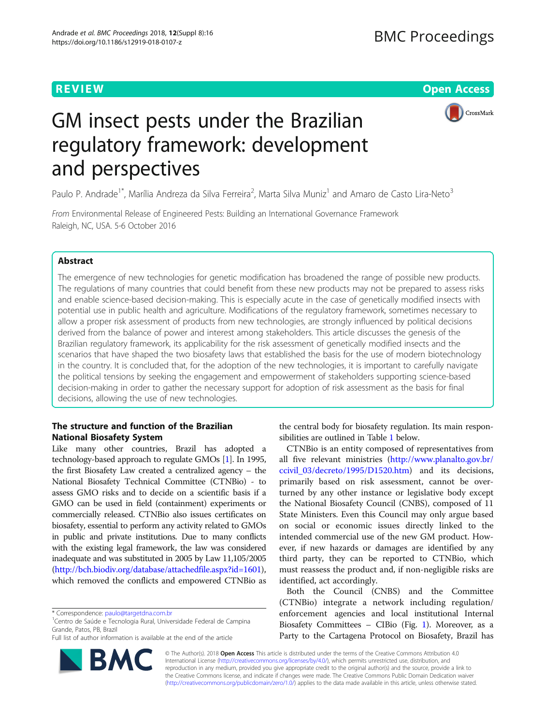**REVIEW CONTROL** CONTROL CONTROL CONTROL CONTROL CONTROL CONTROL CONTROL CONTROL CONTROL CONTROL CONTROL CONTROL CONTROL CONTROL CONTROL CONTROL CONTROL CONTROL CONTROL CONTROL CONTROL CONTROL CONTROL CONTROL CONTROL CONTR



# GM insect pests under the Brazilian regulatory framework: development and perspectives

Paulo P. Andrade<sup>1\*</sup>, Marília Andreza da Silva Ferreira<sup>2</sup>, Marta Silva Muniz<sup>1</sup> and Amaro de Casto Lira-Neto<sup>3</sup>

From Environmental Release of Engineered Pests: Building an International Governance Framework Raleigh, NC, USA. 5-6 October 2016

# Abstract

The emergence of new technologies for genetic modification has broadened the range of possible new products. The regulations of many countries that could benefit from these new products may not be prepared to assess risks and enable science-based decision-making. This is especially acute in the case of genetically modified insects with potential use in public health and agriculture. Modifications of the regulatory framework, sometimes necessary to allow a proper risk assessment of products from new technologies, are strongly influenced by political decisions derived from the balance of power and interest among stakeholders. This article discusses the genesis of the Brazilian regulatory framework, its applicability for the risk assessment of genetically modified insects and the scenarios that have shaped the two biosafety laws that established the basis for the use of modern biotechnology in the country. It is concluded that, for the adoption of the new technologies, it is important to carefully navigate the political tensions by seeking the engagement and empowerment of stakeholders supporting science-based decision-making in order to gather the necessary support for adoption of risk assessment as the basis for final decisions, allowing the use of new technologies.

# The structure and function of the Brazilian National Biosafety System

Like many other countries, Brazil has adopted a technology-based approach to regulate GMOs [[1](#page-5-0)]. In 1995, the first Biosafety Law created a centralized agency – the National Biosafety Technical Committee (CTNBio) - to assess GMO risks and to decide on a scientific basis if a GMO can be used in field (containment) experiments or commercially released. CTNBio also issues certificates on biosafety, essential to perform any activity related to GMOs in public and private institutions. Due to many conflicts with the existing legal framework, the law was considered inadequate and was substituted in 2005 by Law 11,105/2005 ([http://bch.biodiv.org/database/attachedfile.aspx?id=1601\)](http://bch.biodiv.org/database/attachedfile.aspx?id=1601), which removed the conflicts and empowered CTNBio as

Centro de Saúde e Tecnologia Rural, Universidade Federal de Campina Grande, Patos, PB, Brazil

Full list of author information is available at the end of the article



the central body for biosafety regulation. Its main responsibilities are outlined in Table [1](#page-1-0) below.

CTNBio is an entity composed of representatives from all five relevant ministries ([http://www.planalto.gov.br/](http://www.planalto.gov.br/ccivil_03/decreto/1995/D1520.htm) [ccivil\\_03/decreto/1995/D1520.htm\)](http://www.planalto.gov.br/ccivil_03/decreto/1995/D1520.htm) and its decisions, primarily based on risk assessment, cannot be overturned by any other instance or legislative body except the National Biosafety Council (CNBS), composed of 11 State Ministers. Even this Council may only argue based on social or economic issues directly linked to the intended commercial use of the new GM product. However, if new hazards or damages are identified by any third party, they can be reported to CTNBio, which must reassess the product and, if non-negligible risks are identified, act accordingly.

Both the Council (CNBS) and the Committee (CTNBio) integrate a network including regulation/ enforcement agencies and local institutional Internal Biosafety Committees – CIBio (Fig. [1](#page-1-0)). Moreover, as a Party to the Cartagena Protocol on Biosafety, Brazil has

© The Author(s). 2018 Open Access This article is distributed under the terms of the Creative Commons Attribution 4.0 International License [\(http://creativecommons.org/licenses/by/4.0/](http://creativecommons.org/licenses/by/4.0/)), which permits unrestricted use, distribution, and reproduction in any medium, provided you give appropriate credit to the original author(s) and the source, provide a link to the Creative Commons license, and indicate if changes were made. The Creative Commons Public Domain Dedication waiver [\(http://creativecommons.org/publicdomain/zero/1.0/](http://creativecommons.org/publicdomain/zero/1.0/)) applies to the data made available in this article, unless otherwise stated.

<sup>\*</sup> Correspondence: [paulo@targetdna.com.br](mailto:paulo@targetdna.com.br) <sup>1</sup>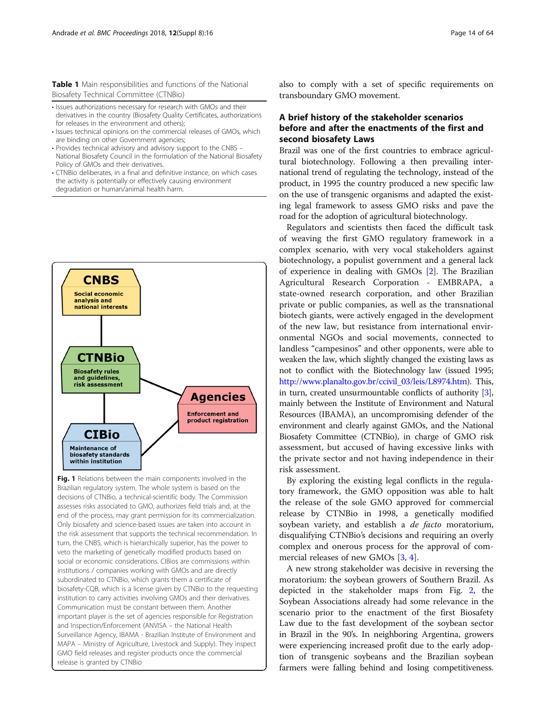<span id="page-1-0"></span>Table 1 Main responsibilities and functions of the National Biosafety Technical Committee (CTNBio)

- Issues authorizations necessary for research with GMOs and their derivatives in the country (Biosafety Quality Certificates, authorizations for releases in the environment and others);
- Issues technical opinions on the commercial releases of GMOs, which are binding on other Government agencies;
- Provides technical advisory and advisory support to the CNBS National Biosafety Council in the formulation of the National Biosafety Policy of GMOs and their derivatives.
- CTNBio deliberates, in a final and definitive instance, on which cases the activity is potentially or effectively causing environment degradation or human/animal health harm.



Fig. 1 Relations between the main components involved in the Brazilian regulatory system. The whole system is based on the decisions of CTNBio, a technical-scientific body. The Commission assesses risks associated to GMO, authorizes field trials and, at the end of the process, may grant permission for its commercialization. Only biosafety and science-based issues are taken into account in the risk assessment that supports the technical recommendation. In turn, the CNBS, which is hierarchically superior, has the power to veto the marketing of genetically modified products based on social or economic considerations. CIBios are commissions within institutions / companies working with GMOs and are directly subordinated to CTNBio, which grants them a certificate of biosafety-CQB, which is a license given by CTNBio to the requesting institution to carry activities involving GMOs and their derivatives. Communication must be constant between them. Another important player is the set of agencies responsible for Registration and Inspection/Enforcement (ANVISA – the National Health Surveillance Agency, IBAMA - Brazilian Institute of Environment and MAPA – Ministry of Agriculture, Livestock and Supply). They inspect GMO field releases and register products once the commercial release is granted by CTNBio

also to comply with a set of specific requirements on transboundary GMO movement.

# A brief history of the stakeholder scenarios before and after the enactments of the first and second biosafety Laws

Brazil was one of the first countries to embrace agricultural biotechnology. Following a then prevailing international trend of regulating the technology, instead of the product, in 1995 the country produced a new specific law on the use of transgenic organisms and adapted the existing legal framework to assess GMO risks and pave the road for the adoption of agricultural biotechnology.

Regulators and scientists then faced the difficult task of weaving the first GMO regulatory framework in a complex scenario, with very vocal stakeholders against biotechnology, a populist government and a general lack of experience in dealing with GMOs [[2\]](#page-5-0). The Brazilian Agricultural Research Corporation - EMBRAPA, a state-owned research corporation, and other Brazilian private or public companies, as well as the transnational biotech giants, were actively engaged in the development of the new law, but resistance from international environmental NGOs and social movements, connected to landless "campesinos" and other opponents, were able to weaken the law, which slightly changed the existing laws as not to conflict with the Biotechnology law (issued 1995; [http://www.planalto.gov.br/ccivil\\_03/leis/L8974.htm\)](http://www.planalto.gov.br/ccivil_03/leis/L8974.htm). This, in turn, created unsurmountable conflicts of authority [[3](#page-5-0)], mainly between the Institute of Environment and Natural Resources (IBAMA), an uncompromising defender of the environment and clearly against GMOs, and the National Biosafety Committee (CTNBio), in charge of GMO risk assessment, but accused of having excessive links with the private sector and not having independence in their risk assessment.

By exploring the existing legal conflicts in the regulatory framework, the GMO opposition was able to halt the release of the sole GMO approved for commercial release by CTNBio in 1998, a genetically modified soybean variety, and establish a *de facto* moratorium, disqualifying CTNBio's decisions and requiring an overly complex and onerous process for the approval of commercial releases of new GMOs [[3,](#page-5-0) [4\]](#page-5-0).

A new strong stakeholder was decisive in reversing the moratorium: the soybean growers of Southern Brazil. As depicted in the stakeholder maps from Fig. [2,](#page-2-0) the Soybean Associations already had some relevance in the scenario prior to the enactment of the first Biosafety Law due to the fast development of the soybean sector in Brazil in the 90's. In neighboring Argentina, growers were experiencing increased profit due to the early adoption of transgenic soybeans and the Brazilian soybean farmers were falling behind and losing competitiveness.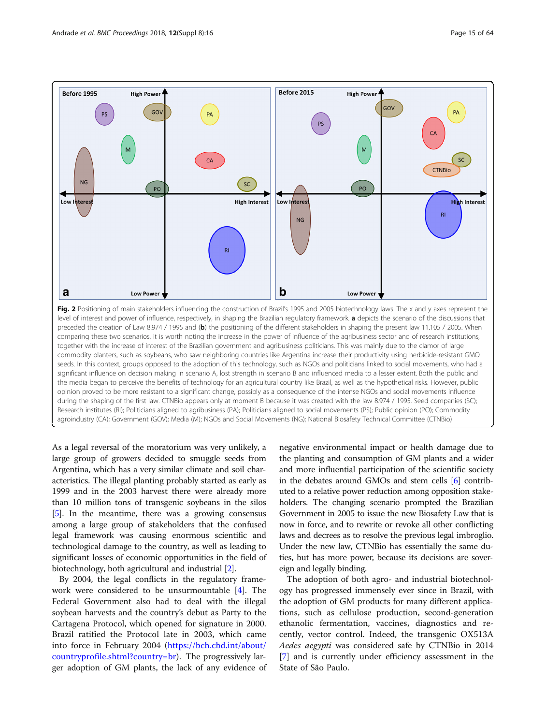<span id="page-2-0"></span>

As a legal reversal of the moratorium was very unlikely, a large group of growers decided to smuggle seeds from Argentina, which has a very similar climate and soil characteristics. The illegal planting probably started as early as 1999 and in the 2003 harvest there were already more than 10 million tons of transgenic soybeans in the silos [[5\]](#page-5-0). In the meantime, there was a growing consensus among a large group of stakeholders that the confused legal framework was causing enormous scientific and technological damage to the country, as well as leading to significant losses of economic opportunities in the field of biotechnology, both agricultural and industrial [[2\]](#page-5-0).

By 2004, the legal conflicts in the regulatory framework were considered to be unsurmountable [\[4](#page-5-0)]. The Federal Government also had to deal with the illegal soybean harvests and the country's debut as Party to the Cartagena Protocol, which opened for signature in 2000. Brazil ratified the Protocol late in 2003, which came into force in February 2004 ([https://bch.cbd.int/about/](https://bch.cbd.int/about/countryprofile.shtml?country=br) [countryprofile.shtml?country=br](https://bch.cbd.int/about/countryprofile.shtml?country=br)). The progressively larger adoption of GM plants, the lack of any evidence of

negative environmental impact or health damage due to the planting and consumption of GM plants and a wider and more influential participation of the scientific society in the debates around GMOs and stem cells [[6\]](#page-5-0) contributed to a relative power reduction among opposition stakeholders. The changing scenario prompted the Brazilian Government in 2005 to issue the new Biosafety Law that is now in force, and to rewrite or revoke all other conflicting laws and decrees as to resolve the previous legal imbroglio. Under the new law, CTNBio has essentially the same duties, but has more power, because its decisions are sovereign and legally binding.

The adoption of both agro- and industrial biotechnology has progressed immensely ever since in Brazil, with the adoption of GM products for many different applications, such as cellulose production, second-generation ethanolic fermentation, vaccines, diagnostics and recently, vector control. Indeed, the transgenic OX513A Aedes aegypti was considered safe by CTNBio in 2014 [[7\]](#page-5-0) and is currently under efficiency assessment in the State of São Paulo.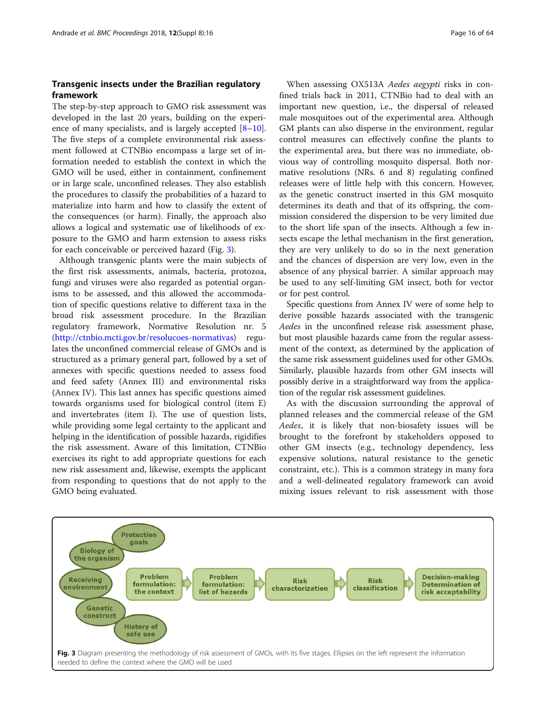## Transgenic insects under the Brazilian regulatory framework

The step-by-step approach to GMO risk assessment was developed in the last 20 years, building on the experience of many specialists, and is largely accepted  $[8-10]$  $[8-10]$  $[8-10]$  $[8-10]$  $[8-10]$ . The five steps of a complete environmental risk assessment followed at CTNBio encompass a large set of information needed to establish the context in which the GMO will be used, either in containment, confinement or in large scale, unconfined releases. They also establish the procedures to classify the probabilities of a hazard to materialize into harm and how to classify the extent of the consequences (or harm). Finally, the approach also allows a logical and systematic use of likelihoods of exposure to the GMO and harm extension to assess risks for each conceivable or perceived hazard (Fig. 3).

Although transgenic plants were the main subjects of the first risk assessments, animals, bacteria, protozoa, fungi and viruses were also regarded as potential organisms to be assessed, and this allowed the accommodation of specific questions relative to different taxa in the broad risk assessment procedure. In the Brazilian regulatory framework, Normative Resolution nr. 5 ([http://ctnbio.mcti.gov.br/resolucoes-normativas\)](http://ctnbio.mcti.gov.br/resolucoes-normativas) regulates the unconfined commercial release of GMOs and is structured as a primary general part, followed by a set of annexes with specific questions needed to assess food and feed safety (Annex III) and environmental risks (Annex IV). This last annex has specific questions aimed towards organisms used for biological control (item E) and invertebrates (item I). The use of question lists, while providing some legal certainty to the applicant and helping in the identification of possible hazards, rigidifies the risk assessment. Aware of this limitation, CTNBio exercises its right to add appropriate questions for each new risk assessment and, likewise, exempts the applicant from responding to questions that do not apply to the GMO being evaluated.

When assessing OX513A Aedes aegypti risks in confined trials back in 2011, CTNBio had to deal with an important new question, i.e., the dispersal of released male mosquitoes out of the experimental area. Although GM plants can also disperse in the environment, regular control measures can effectively confine the plants to the experimental area, but there was no immediate, obvious way of controlling mosquito dispersal. Both normative resolutions (NRs. 6 and 8) regulating confined releases were of little help with this concern. However, as the genetic construct inserted in this GM mosquito determines its death and that of its offspring, the commission considered the dispersion to be very limited due to the short life span of the insects. Although a few insects escape the lethal mechanism in the first generation, they are very unlikely to do so in the next generation and the chances of dispersion are very low, even in the absence of any physical barrier. A similar approach may be used to any self-limiting GM insect, both for vector or for pest control.

Specific questions from Annex IV were of some help to derive possible hazards associated with the transgenic Aedes in the unconfined release risk assessment phase, but most plausible hazards came from the regular assessment of the context, as determined by the application of the same risk assessment guidelines used for other GMOs. Similarly, plausible hazards from other GM insects will possibly derive in a straightforward way from the application of the regular risk assessment guidelines.

As with the discussion surrounding the approval of planned releases and the commercial release of the GM Aedes, it is likely that non-biosafety issues will be brought to the forefront by stakeholders opposed to other GM insects (e.g., technology dependency, less expensive solutions, natural resistance to the genetic constraint, etc.). This is a common strategy in many fora and a well-delineated regulatory framework can avoid mixing issues relevant to risk assessment with those

![](_page_3_Figure_8.jpeg)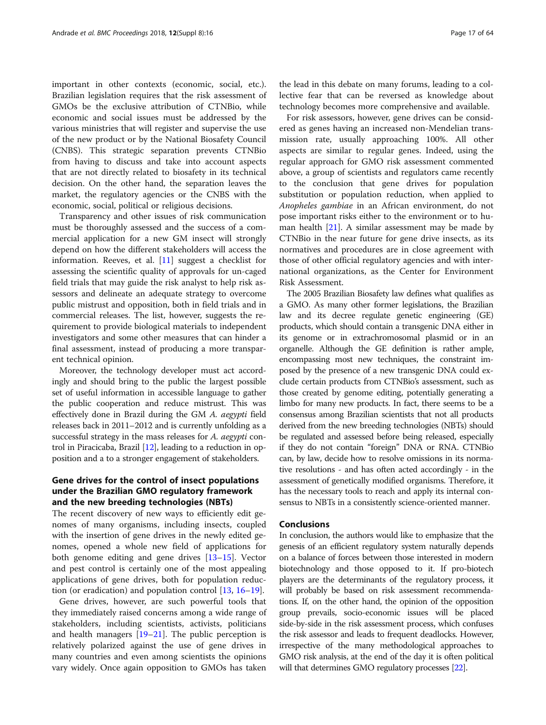important in other contexts (economic, social, etc.). Brazilian legislation requires that the risk assessment of GMOs be the exclusive attribution of CTNBio, while economic and social issues must be addressed by the various ministries that will register and supervise the use of the new product or by the National Biosafety Council (CNBS). This strategic separation prevents CTNBio from having to discuss and take into account aspects that are not directly related to biosafety in its technical decision. On the other hand, the separation leaves the market, the regulatory agencies or the CNBS with the economic, social, political or religious decisions.

Transparency and other issues of risk communication must be thoroughly assessed and the success of a commercial application for a new GM insect will strongly depend on how the different stakeholders will access the information. Reeves, et al.  $[11]$  $[11]$  $[11]$  suggest a checklist for assessing the scientific quality of approvals for un-caged field trials that may guide the risk analyst to help risk assessors and delineate an adequate strategy to overcome public mistrust and opposition, both in field trials and in commercial releases. The list, however, suggests the requirement to provide biological materials to independent investigators and some other measures that can hinder a final assessment, instead of producing a more transparent technical opinion.

Moreover, the technology developer must act accordingly and should bring to the public the largest possible set of useful information in accessible language to gather the public cooperation and reduce mistrust. This was effectively done in Brazil during the GM A. aegypti field releases back in 2011–2012 and is currently unfolding as a successful strategy in the mass releases for A. aegypti control in Piracicaba, Brazil [\[12\]](#page-5-0), leading to a reduction in opposition and a to a stronger engagement of stakeholders.

# Gene drives for the control of insect populations under the Brazilian GMO regulatory framework and the new breeding technologies (NBTs)

The recent discovery of new ways to efficiently edit genomes of many organisms, including insects, coupled with the insertion of gene drives in the newly edited genomes, opened a whole new field of applications for both genome editing and gene drives [\[13](#page-5-0)–[15\]](#page-5-0). Vector and pest control is certainly one of the most appealing applications of gene drives, both for population reduction (or eradication) and population control [[13,](#page-5-0) [16](#page-5-0)–[19](#page-5-0)].

Gene drives, however, are such powerful tools that they immediately raised concerns among a wide range of stakeholders, including scientists, activists, politicians and health managers [[19](#page-5-0)–[21](#page-5-0)]. The public perception is relatively polarized against the use of gene drives in many countries and even among scientists the opinions vary widely. Once again opposition to GMOs has taken

the lead in this debate on many forums, leading to a collective fear that can be reversed as knowledge about technology becomes more comprehensive and available.

For risk assessors, however, gene drives can be considered as genes having an increased non-Mendelian transmission rate, usually approaching 100%. All other aspects are similar to regular genes. Indeed, using the regular approach for GMO risk assessment commented above, a group of scientists and regulators came recently to the conclusion that gene drives for population substitution or population reduction, when applied to Anopheles gambiae in an African environment, do not pose important risks either to the environment or to human health  $[21]$  $[21]$  $[21]$ . A similar assessment may be made by CTNBio in the near future for gene drive insects, as its normatives and procedures are in close agreement with those of other official regulatory agencies and with international organizations, as the Center for Environment Risk Assessment.

The 2005 Brazilian Biosafety law defines what qualifies as a GMO. As many other former legislations, the Brazilian law and its decree regulate genetic engineering (GE) products, which should contain a transgenic DNA either in its genome or in extrachromosomal plasmid or in an organelle. Although the GE definition is rather ample, encompassing most new techniques, the constraint imposed by the presence of a new transgenic DNA could exclude certain products from CTNBio's assessment, such as those created by genome editing, potentially generating a limbo for many new products. In fact, there seems to be a consensus among Brazilian scientists that not all products derived from the new breeding technologies (NBTs) should be regulated and assessed before being released, especially if they do not contain "foreign" DNA or RNA. CTNBio can, by law, decide how to resolve omissions in its normative resolutions - and has often acted accordingly - in the assessment of genetically modified organisms. Therefore, it has the necessary tools to reach and apply its internal consensus to NBTs in a consistently science-oriented manner.

#### Conclusions

In conclusion, the authors would like to emphasize that the genesis of an efficient regulatory system naturally depends on a balance of forces between those interested in modern biotechnology and those opposed to it. If pro-biotech players are the determinants of the regulatory process, it will probably be based on risk assessment recommendations. If, on the other hand, the opinion of the opposition group prevails, socio-economic issues will be placed side-by-side in the risk assessment process, which confuses the risk assessor and leads to frequent deadlocks. However, irrespective of the many methodological approaches to GMO risk analysis, at the end of the day it is often political will that determines GMO regulatory processes [[22](#page-5-0)].